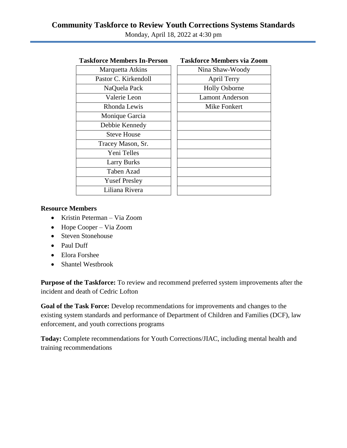Monday, April 18, 2022 at 4:30 pm

| Marquetta Atkins     | Nina Shaw-Wo        |
|----------------------|---------------------|
| Pastor C. Kirkendoll | April Terry         |
| NaQuela Pack         | <b>Holly Osborr</b> |
| Valerie Leon         | <b>Lamont Ander</b> |
| Rhonda Lewis         | Mike Fonker         |
| Monique Garcia       |                     |
| Debbie Kennedy       |                     |
| <b>Steve House</b>   |                     |
| Tracey Mason, Sr.    |                     |
| Yeni Telles          |                     |
| <b>Larry Burks</b>   |                     |
| Taben Azad           |                     |
| <b>Yusef Presley</b> |                     |
| Liliana Rivera       |                     |
|                      |                     |

| rce ivieniders 111-f ersoli | Taskinge Members via Zoom |
|-----------------------------|---------------------------|
| Marquetta Atkins            | Nina Shaw-Woody           |
| astor C. Kirkendoll         | April Terry               |
| NaQuela Pack                | <b>Holly Osborne</b>      |
| Valerie Leon                | <b>Lamont Anderson</b>    |
| Rhonda Lewis                | Mike Fonkert              |
| Monique Garcia              |                           |
| Debbie Kennedy              |                           |
| <b>Steve House</b>          |                           |
| Tracey Mason, Sr.           |                           |
| <b>Yeni Telles</b>          |                           |
| <b>Larry Burks</b>          |                           |
| <b>Taben Azad</b>           |                           |
| <b>Yusef Presley</b>        |                           |
| Liliana Rivera              |                           |

## **Resource Members**

- Kristin Peterman Via Zoom
- Hope Cooper Via Zoom
- Steven Stonehouse
- Paul Duff
- Elora Forshee
- Shantel Westbrook

**Purpose of the Taskforce:** To review and recommend preferred system improvements after the incident and death of Cedric Lofton

**Goal of the Task Force:** Develop recommendations for improvements and changes to the existing system standards and performance of Department of Children and Families (DCF), law enforcement, and youth corrections programs

**Today:** Complete recommendations for Youth Corrections/JIAC, including mental health and training recommendations

# **Taskforce Members In-Person Taskforce Members via Zoom**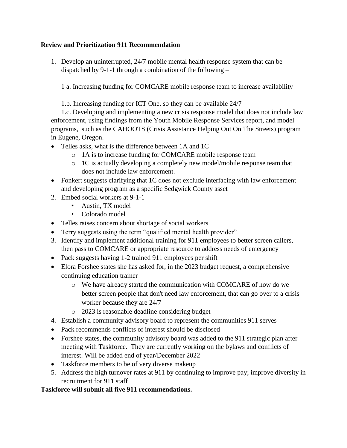## **Review and Prioritization 911 Recommendation**

1. Develop an uninterrupted, 24/7 mobile mental health response system that can be dispatched by 9-1-1 through a combination of the following –

1 a. Increasing funding for COMCARE mobile response team to increase availability

1.b. Increasing funding for ICT One, so they can be available 24/7

1.c. Developing and implementing a new crisis response model that does not include law enforcement, using findings from the Youth Mobile Response Services report, and model programs, such as the CAHOOTS (Crisis Assistance Helping Out On The Streets) program in Eugene, Oregon.

- Telles asks, what is the difference between 1A and 1C
	- o 1A is to increase funding for COMCARE mobile response team
	- o 1C is actually developing a completely new model/mobile response team that does not include law enforcement.
- Fonkert suggests clarifying that 1C does not exclude interfacing with law enforcement and developing program as a specific Sedgwick County asset
- 2. Embed social workers at 9-1-1
	- Austin, TX model
	- Colorado model
- Telles raises concern about shortage of social workers
- Terry suggests using the term "qualified mental health provider"
- 3. Identify and implement additional training for 911 employees to better screen callers, then pass to COMCARE or appropriate resource to address needs of emergency
- Pack suggests having 1-2 trained 911 employees per shift
- Elora Forshee states she has asked for, in the 2023 budget request, a comprehensive continuing education trainer
	- o We have already started the communication with COMCARE of how do we better screen people that don't need law enforcement, that can go over to a crisis worker because they are 24/7
	- o 2023 is reasonable deadline considering budget
- 4. Establish a community advisory board to represent the communities 911 serves
- Pack recommends conflicts of interest should be disclosed
- Forshee states, the community advisory board was added to the 911 strategic plan after meeting with Taskforce. They are currently working on the bylaws and conflicts of interest. Will be added end of year/December 2022
- Taskforce members to be of very diverse makeup
- 5. Address the high turnover rates at 911 by continuing to improve pay; improve diversity in recruitment for 911 staff

## **Taskforce will submit all five 911 recommendations.**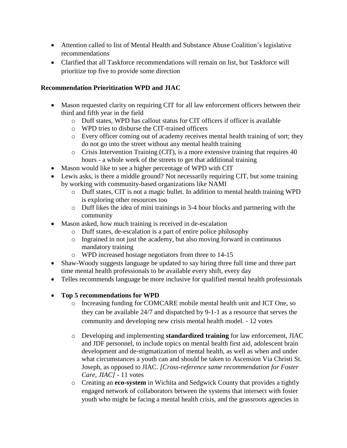- Attention called to list of Mental Health and Substance Abuse Coalition's legislative recommendations
- Clarified that all Taskforce recommendations will remain on list, but Taskforce will prioritize top five to provide some direction

## **Recommendation Prioritization WPD and JIAC**

- Mason requested clarity on requiring CIT for all law enforcement officers between their third and fifth year in the field
	- o Duff states, WPD has callout status for CIT officers if officer is available
	- o WPD tries to disburse the CIT-trained officers
	- o Every officer coming out of academy receives mental health training of sort; they do not go into the street without any mental health training
	- o Crisis Intervention Training (CIT), is a more extensive training that requires 40 hours - a whole week of the streets to get that additional training
- Mason would like to see a higher percentage of WPD with CIT
- Lewis asks, is there a middle ground? Not necessarily requiring CIT, but some training by working with community-based organizations like NAMI
	- o Duff states, CIT is not a magic bullet. In addition to mental health training WPD is exploring other resources too
	- o Duff likes the idea of mini trainings in 3-4 hour blocks and partnering with the community
- Mason asked, how much training is received in de-escalation
	- o Duff states, de-escalation is a part of entire police philosophy
	- o Ingrained in not just the academy, but also moving forward in continuous mandatory training
	- o WPD increased hostage negotiators from three to 14-15
- Shaw-Woody suggests language be updated to say hiring three full time and three part time mental health professionals to be available every shift, every day
- Telles recommends language be more inclusive for qualified mental health professionals
- **Top 5 recommendations for WPD** 
	- o Increasing funding for COMCARE mobile mental health unit and ICT One, so they can be available 24/7 and dispatched by 9-1-1 as a resource that serves the community and developing new crisis mental health model. - 12 votes
	- o Developing and implementing **standardized training** for law enforcement, JIAC and JDF personnel, to include topics on mental health first aid, adolescent brain development and de-stigmatization of mental health, as well as when and under what circumstances a youth can and should be taken to Ascension Via Christi St. Joseph, as opposed to JIAC. *[Cross-reference same recommendation for Foster Care, JIAC] -* 11 votes
	- o Creating an **eco-system** in Wichita and Sedgwick County that provides a tightly engaged network of collaborators between the systems that intersect with foster youth who might be facing a mental health crisis, and the grassroots agencies in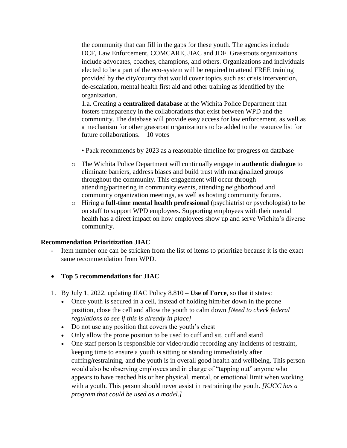the community that can fill in the gaps for these youth. The agencies include DCF, Law Enforcement, COMCARE, JIAC and JDF. Grassroots organizations include advocates, coaches, champions, and others. Organizations and individuals elected to be a part of the eco-system will be required to attend FREE training provided by the city/county that would cover topics such as: crisis intervention, de-escalation, mental health first aid and other training as identified by the organization.

1.a. Creating a **centralized database** at the Wichita Police Department that fosters transparency in the collaborations that exist between WPD and the community. The database will provide easy access for law enforcement, as well as a mechanism for other grassroot organizations to be added to the resource list for future collaborations. – 10 votes

• Pack recommends by 2023 as a reasonable timeline for progress on database

- o The Wichita Police Department will continually engage in **authentic dialogue** to eliminate barriers, address biases and build trust with marginalized groups throughout the community. This engagement will occur through attending/partnering in community events, attending neighborhood and community organization meetings, as well as hosting community forums.
- o Hiring a **full-time mental health professional** (psychiatrist or psychologist) to be on staff to support WPD employees. Supporting employees with their mental health has a direct impact on how employees show up and serve Wichita's diverse community.

### **Recommendation Prioritization JIAC**

- Item number one can be stricken from the list of items to prioritize because it is the exact same recommendation from WPD.
- **Top 5 recommendations for JIAC**
- 1. By July 1, 2022, updating JIAC Policy 8.810 **Use of Force**, so that it states:
	- Once youth is secured in a cell, instead of holding him/her down in the prone position, close the cell and allow the youth to calm down *[Need to check federal regulations to see if this is already in place]*
	- Do not use any position that covers the youth's chest
	- Only allow the prone position to be used to cuff and sit, cuff and stand
	- One staff person is responsible for video/audio recording any incidents of restraint, keeping time to ensure a youth is sitting or standing immediately after cuffing/restraining, and the youth is in overall good health and wellbeing. This person would also be observing employees and in charge of "tapping out" anyone who appears to have reached his or her physical, mental, or emotional limit when working with a youth. This person should never assist in restraining the youth. *[KJCC has a program that could be used as a model.]*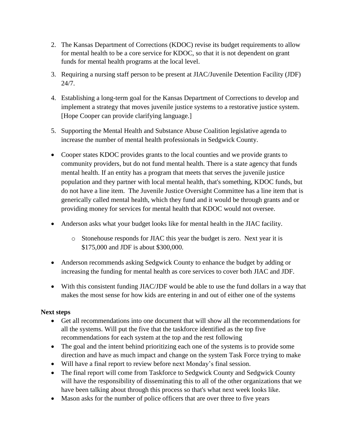- 2. The Kansas Department of Corrections (KDOC) revise its budget requirements to allow for mental health to be a core service for KDOC, so that it is not dependent on grant funds for mental health programs at the local level.
- 3. Requiring a nursing staff person to be present at JIAC/Juvenile Detention Facility (JDF) 24/7.
- 4. Establishing a long-term goal for the Kansas Department of Corrections to develop and implement a strategy that moves juvenile justice systems to a restorative justice system. [Hope Cooper can provide clarifying language.]
- 5. Supporting the Mental Health and Substance Abuse Coalition legislative agenda to increase the number of mental health professionals in Sedgwick County.
- Cooper states KDOC provides grants to the local counties and we provide grants to community providers, but do not fund mental health. There is a state agency that funds mental health. If an entity has a program that meets that serves the juvenile justice population and they partner with local mental health, that's something, KDOC funds, but do not have a line item. The Juvenile Justice Oversight Committee has a line item that is generically called mental health, which they fund and it would be through grants and or providing money for services for mental health that KDOC would not oversee.
- Anderson asks what your budget looks like for mental health in the JIAC facility.
	- o Stonehouse responds for JIAC this year the budget is zero. Next year it is \$175,000 and JDF is about \$300,000.
- Anderson recommends asking Sedgwick County to enhance the budget by adding or increasing the funding for mental health as core services to cover both JIAC and JDF.
- With this consistent funding JIAC/JDF would be able to use the fund dollars in a way that makes the most sense for how kids are entering in and out of either one of the systems

## **Next steps**

- Get all recommendations into one document that will show all the recommendations for all the systems. Will put the five that the taskforce identified as the top five recommendations for each system at the top and the rest following
- The goal and the intent behind prioritizing each one of the systems is to provide some direction and have as much impact and change on the system Task Force trying to make
- Will have a final report to review before next Monday's final session.
- The final report will come from Taskforce to Sedgwick County and Sedgwick County will have the responsibility of disseminating this to all of the other organizations that we have been talking about through this process so that's what next week looks like.
- Mason asks for the number of police officers that are over three to five years